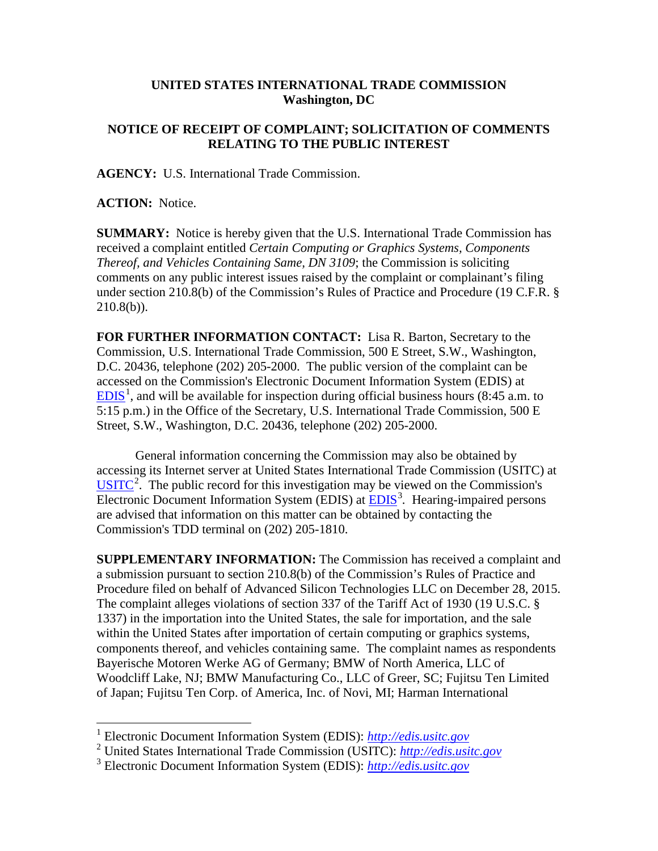## **UNITED STATES INTERNATIONAL TRADE COMMISSION Washington, DC**

## **NOTICE OF RECEIPT OF COMPLAINT; SOLICITATION OF COMMENTS RELATING TO THE PUBLIC INTEREST**

**AGENCY:** U.S. International Trade Commission.

**ACTION:** Notice.

**SUMMARY:** Notice is hereby given that the U.S. International Trade Commission has received a complaint entitled *Certain Computing or Graphics Systems, Components Thereof, and Vehicles Containing Same, DN 3109*; the Commission is soliciting comments on any public interest issues raised by the complaint or complainant's filing under section 210.8(b) of the Commission's Rules of Practice and Procedure (19 C.F.R. §  $210.8(b)$ ).

**FOR FURTHER INFORMATION CONTACT:** Lisa R. Barton, Secretary to the Commission, U.S. International Trade Commission, 500 E Street, S.W., Washington, D.C. 20436, telephone (202) 205-2000. The public version of the complaint can be accessed on the Commission's Electronic Document Information System (EDIS) at  $EDIS<sup>1</sup>$  $EDIS<sup>1</sup>$  $EDIS<sup>1</sup>$  $EDIS<sup>1</sup>$ , and will be available for inspection during official business hours (8:45 a.m. to 5:15 p.m.) in the Office of the Secretary, U.S. International Trade Commission, 500 E Street, S.W., Washington, D.C. 20436, telephone (202) 205-2000.

General information concerning the Commission may also be obtained by accessing its Internet server at United States International Trade Commission (USITC) at  $\overline{USTTC}^2$  $\overline{USTTC}^2$ . The public record for this investigation may be viewed on the Commission's Electronic Document Information System (EDIS) at **EDIS**<sup>[3](#page-0-2)</sup>. Hearing-impaired persons are advised that information on this matter can be obtained by contacting the Commission's TDD terminal on (202) 205-1810.

**SUPPLEMENTARY INFORMATION:** The Commission has received a complaint and a submission pursuant to section 210.8(b) of the Commission's Rules of Practice and Procedure filed on behalf of Advanced Silicon Technologies LLC on December 28, 2015. The complaint alleges violations of section 337 of the Tariff Act of 1930 (19 U.S.C. § 1337) in the importation into the United States, the sale for importation, and the sale within the United States after importation of certain computing or graphics systems, components thereof, and vehicles containing same. The complaint names as respondents Bayerische Motoren Werke AG of Germany; BMW of North America, LLC of Woodcliff Lake, NJ; BMW Manufacturing Co., LLC of Greer, SC; Fujitsu Ten Limited of Japan; Fujitsu Ten Corp. of America, Inc. of Novi, MI; Harman International

<span id="page-0-0"></span> <sup>1</sup> Electronic Document Information System (EDIS): *[http://edis.usitc.gov](http://edis.usitc.gov/)*

<span id="page-0-1"></span><sup>2</sup> United States International Trade Commission (USITC): *[http://edis.usitc.gov](http://edis.usitc.gov/)*

<span id="page-0-2"></span><sup>3</sup> Electronic Document Information System (EDIS): *[http://edis.usitc.gov](http://edis.usitc.gov/)*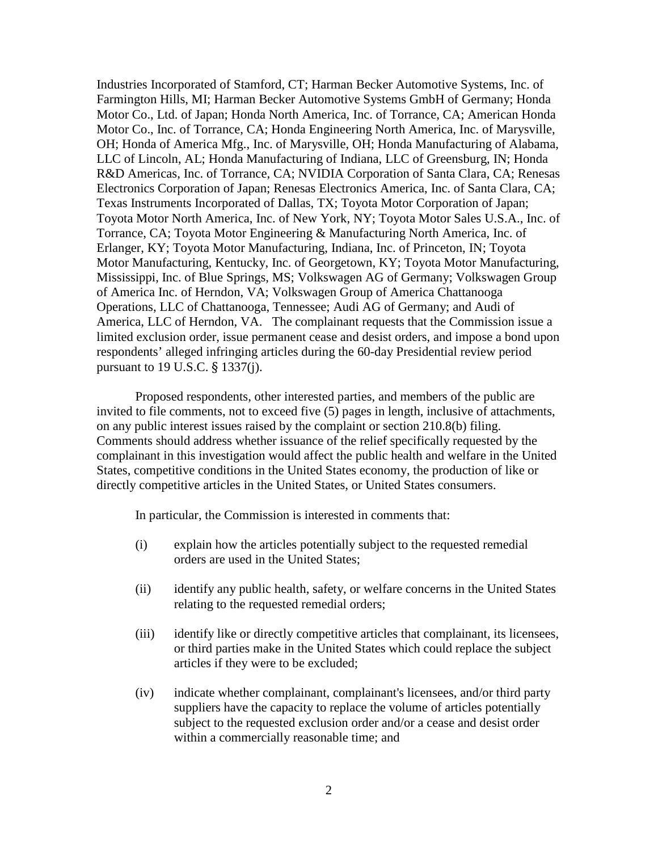Industries Incorporated of Stamford, CT; Harman Becker Automotive Systems, Inc. of Farmington Hills, MI; Harman Becker Automotive Systems GmbH of Germany; Honda Motor Co., Ltd. of Japan; Honda North America, Inc. of Torrance, CA; American Honda Motor Co., Inc. of Torrance, CA; Honda Engineering North America, Inc. of Marysville, OH; Honda of America Mfg., Inc. of Marysville, OH; Honda Manufacturing of Alabama, LLC of Lincoln, AL; Honda Manufacturing of Indiana, LLC of Greensburg, IN; Honda R&D Americas, Inc. of Torrance, CA; NVIDIA Corporation of Santa Clara, CA; Renesas Electronics Corporation of Japan; Renesas Electronics America, Inc. of Santa Clara, CA; Texas Instruments Incorporated of Dallas, TX; Toyota Motor Corporation of Japan; Toyota Motor North America, Inc. of New York, NY; Toyota Motor Sales U.S.A., Inc. of Torrance, CA; Toyota Motor Engineering & Manufacturing North America, Inc. of Erlanger, KY; Toyota Motor Manufacturing, Indiana, Inc. of Princeton, IN; Toyota Motor Manufacturing, Kentucky, Inc. of Georgetown, KY; Toyota Motor Manufacturing, Mississippi, Inc. of Blue Springs, MS; Volkswagen AG of Germany; Volkswagen Group of America Inc. of Herndon, VA; Volkswagen Group of America Chattanooga Operations, LLC of Chattanooga, Tennessee; Audi AG of Germany; and Audi of America, LLC of Herndon, VA. The complainant requests that the Commission issue a limited exclusion order, issue permanent cease and desist orders, and impose a bond upon respondents' alleged infringing articles during the 60-day Presidential review period pursuant to 19 U.S.C. § 1337(j).

Proposed respondents, other interested parties, and members of the public are invited to file comments, not to exceed five (5) pages in length, inclusive of attachments, on any public interest issues raised by the complaint or section 210.8(b) filing. Comments should address whether issuance of the relief specifically requested by the complainant in this investigation would affect the public health and welfare in the United States, competitive conditions in the United States economy, the production of like or directly competitive articles in the United States, or United States consumers.

In particular, the Commission is interested in comments that:

- (i) explain how the articles potentially subject to the requested remedial orders are used in the United States;
- (ii) identify any public health, safety, or welfare concerns in the United States relating to the requested remedial orders;
- (iii) identify like or directly competitive articles that complainant, its licensees, or third parties make in the United States which could replace the subject articles if they were to be excluded;
- (iv) indicate whether complainant, complainant's licensees, and/or third party suppliers have the capacity to replace the volume of articles potentially subject to the requested exclusion order and/or a cease and desist order within a commercially reasonable time; and